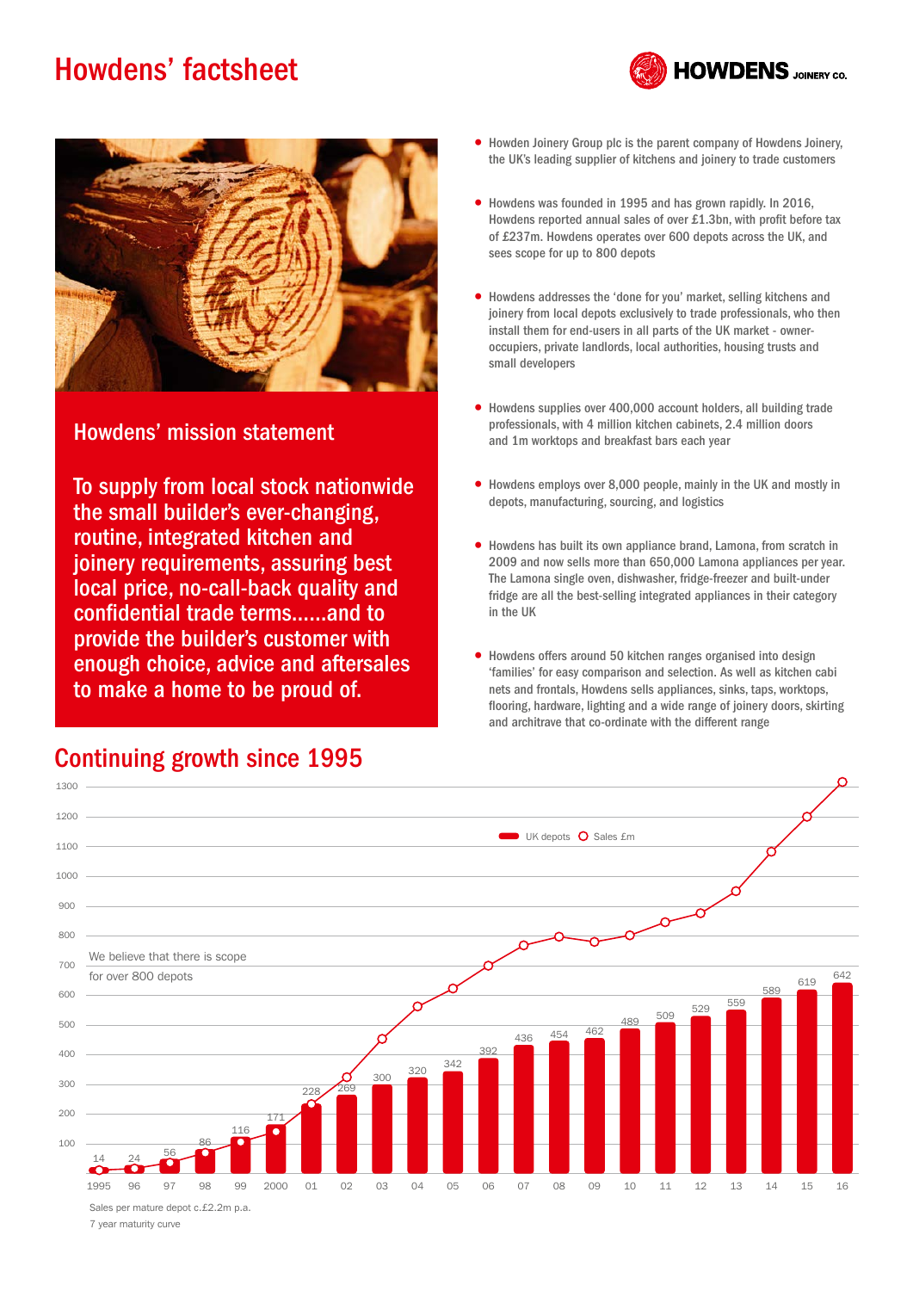# Howdens' factsheet





### Howdens' mission statement

To supply from local stock nationwide the small builder's ever-changing, routine, integrated kitchen and joinery requirements, assuring best local price, no-call-back quality and confidential trade terms......and to provide the builder's customer with enough choice, advice and aftersales to make a home to be proud of.

## Continuing growth since 1995

- Howden Joinery Group plc is the parent company of Howdens Joinery, the UK's leading supplier of kitchens and joinery to trade customers
- Howdens was founded in 1995 and has grown rapidly. In 2016, Howdens reported annual sales of over £1.3bn, with profit before tax of £237m. Howdens operates over 600 depots across the UK, and sees scope for up to 800 depots
- Howdens addresses the 'done for you' market, selling kitchens and joinery from local depots exclusively to trade professionals, who then install them for end-users in all parts of the UK market - owneroccupiers, private landlords, local authorities, housing trusts and small developers
- Howdens supplies over 400,000 account holders, all building trade professionals, with 4 million kitchen cabinets, 2.4 million doors and 1m worktops and breakfast bars each year
- Howdens employs over 8,000 people, mainly in the UK and mostly in depots, manufacturing, sourcing, and logistics
- Howdens has built its own appliance brand, Lamona, from scratch in 2009 and now sells more than 650,000 Lamona appliances per year. The Lamona single oven, dishwasher, fridge-freezer and built-under fridge are all the best-selling integrated appliances in their category in the UK
- Howdens offers around 50 kitchen ranges organised into design 'families' for easy comparison and selection. As well as kitchen cabi nets and frontals, Howdens sells appliances, sinks, taps, worktops, flooring, hardware, lighting and a wide range of joinery doors, skirting and architrave that co-ordinate with the different range



Sales per mature depot c.£2.2m p.a. 7 year maturity curve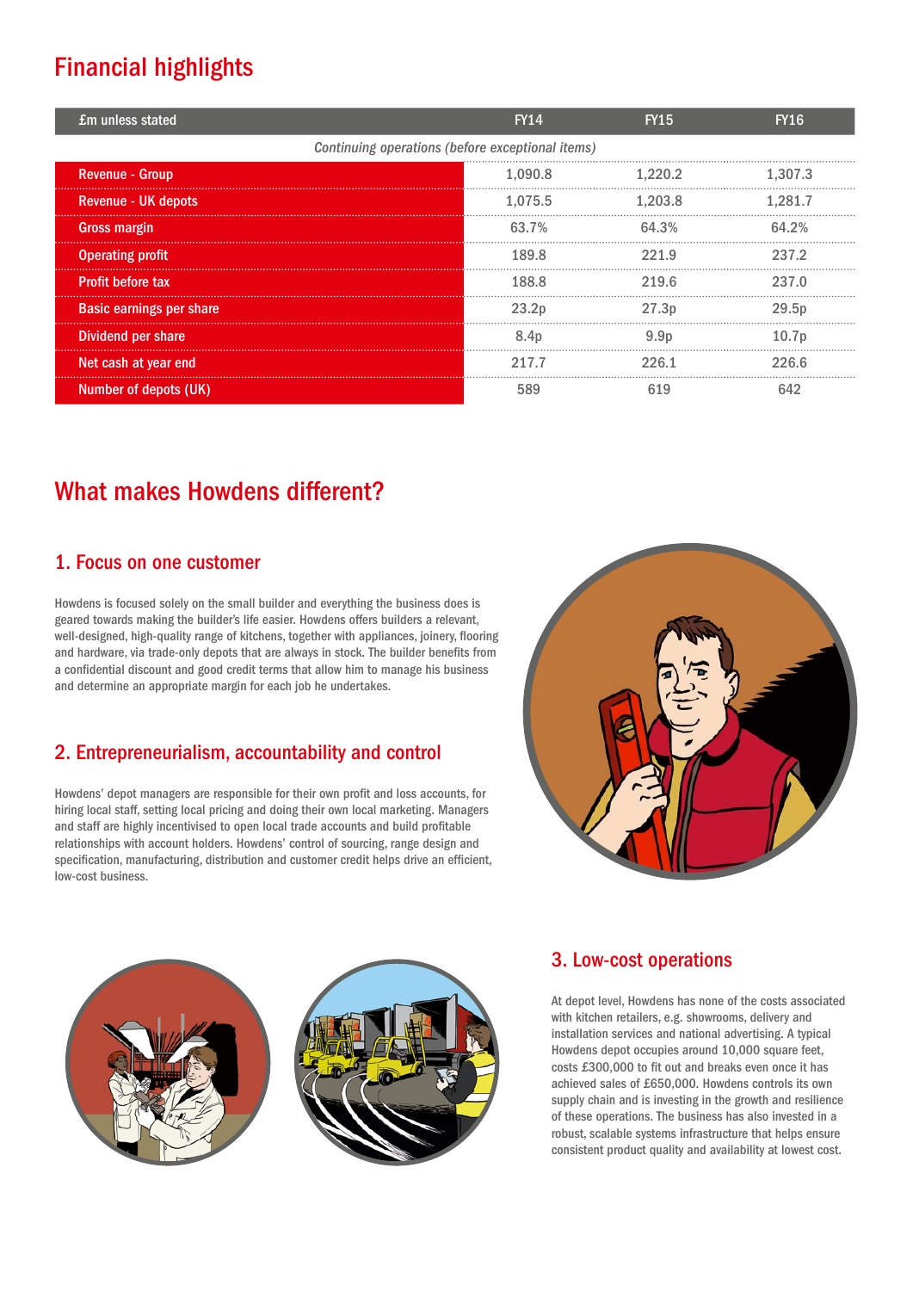## Financial highlights

| £m unless stated                                 | <b>FY14</b>       | <b>FY15</b>       | <b>FY16</b>       |
|--------------------------------------------------|-------------------|-------------------|-------------------|
| Continuing operations (before exceptional items) |                   |                   |                   |
| <b>Revenue - Group</b>                           | 1,090.8           | 1.220.2           | 1.307.3           |
| <b>Revenue - UK depots</b>                       | 1,075.5           | 1.203.8           | 1.281.7           |
| <b>Gross margin</b>                              | 63.7%             | 64.3%             | 64.2%             |
| <b>Operating profit</b>                          | 189.8             | 221.9             | 237.2             |
| <b>Profit before tax</b>                         | 188.8             | 219.6             | 237.0             |
| <b>Basic earnings per share</b>                  | 23.2 <sub>p</sub> | 27.3 <sub>p</sub> | 29.5 <sub>p</sub> |
| Dividend per share                               | 8.4 <sub>p</sub>  | 9.9 <sub>p</sub>  | 10.7 <sub>p</sub> |
| Net cash at year end                             | 217.7             | 226.1             | 226.6             |
| Number of depots (UK)                            | 589               | 619               | 642               |

## What makes Howdens different?

### 1. Focus on one customer

Howdens is focused solely on the small builder and everything the business does is geared towards making the builder's life easier. Howdens offers builders a relevant, well-designed, high-quality range of kitchens, together with appliances, joinery, flooring and hardware, via trade-only depots that are always in stock. The builder benefits from a confidential discount and good credit terms that allow him to manage his business and determine an appropriate margin for each job he undertakes.

### 2. Entrepreneurialism, accountability and control

Howdens' depot managers are responsible for their own profit and loss accounts, for hiring local staff, setting local pricing and doing their own local marketing. Managers and staff are highly incentivised to open local trade accounts and build profitable relationships with account holders. Howdens' control of sourcing, range design and specification, manufacturing, distribution and customer credit helps drive an efficient, low-cost business.





### 3. Low-cost operations

At depot level, Howdens has none of the costs associated with kitchen retailers, e.g. showrooms, delivery and installation services and national advertising. A typical Howdens depot occupies around 10,000 square feet. costs £300,000 to fit out and breaks even once it has achieved sales of £650,000. Howdens controls its own supply chain and is investing in the growth and resilience of these operations. The business has also invested in a robust, scalable systems infrastructure that helps ensure consistent product quality and availability at lowest cost.